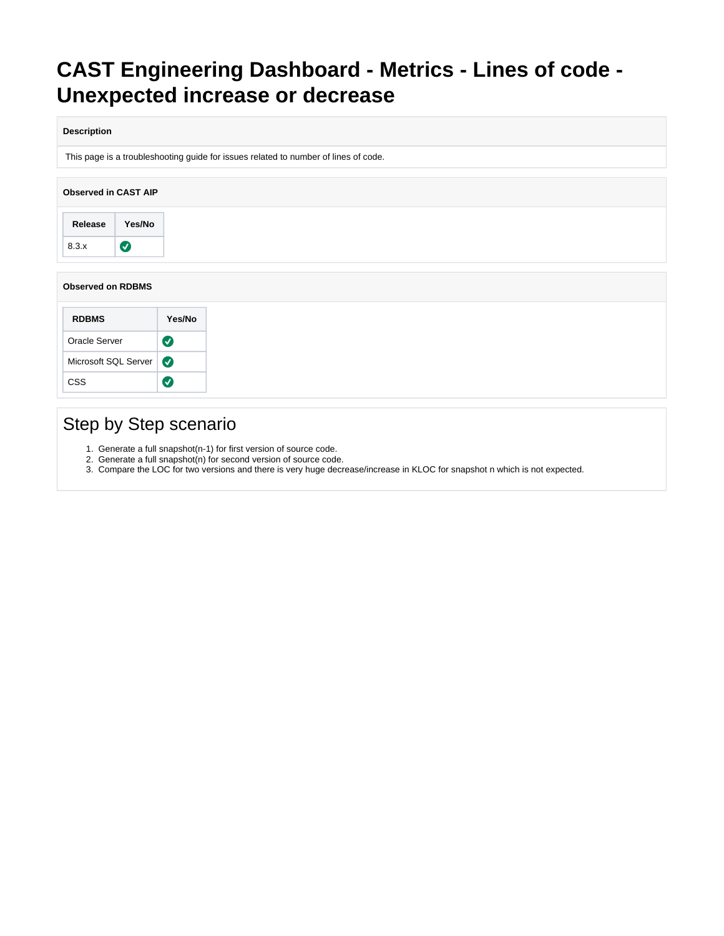# **CAST Engineering Dashboard - Metrics - Lines of code - Unexpected increase or decrease**

### **Description**

This page is a troubleshooting guide for issues related to number of lines of code.

| <b>Observed in CAST AIP</b> |           |  |
|-----------------------------|-----------|--|
| Release                     | Yes/No    |  |
| 8.3.x                       | $\bullet$ |  |

### **Observed on RDBMS**

| <b>RDBMS</b>         | Yes/No                |
|----------------------|-----------------------|
| Oracle Server        | $\boldsymbol{\omega}$ |
| Microsoft SQL Server | $\boldsymbol{\sigma}$ |
| CSS                  |                       |

## Step by Step scenario

- 1. Generate a full snapshot(n-1) for first version of source code.
- 2. Generate a full snapshot(n) for second version of source code.
- 3. Compare the LOC for two versions and there is very huge decrease/increase in KLOC for snapshot n which is not expected.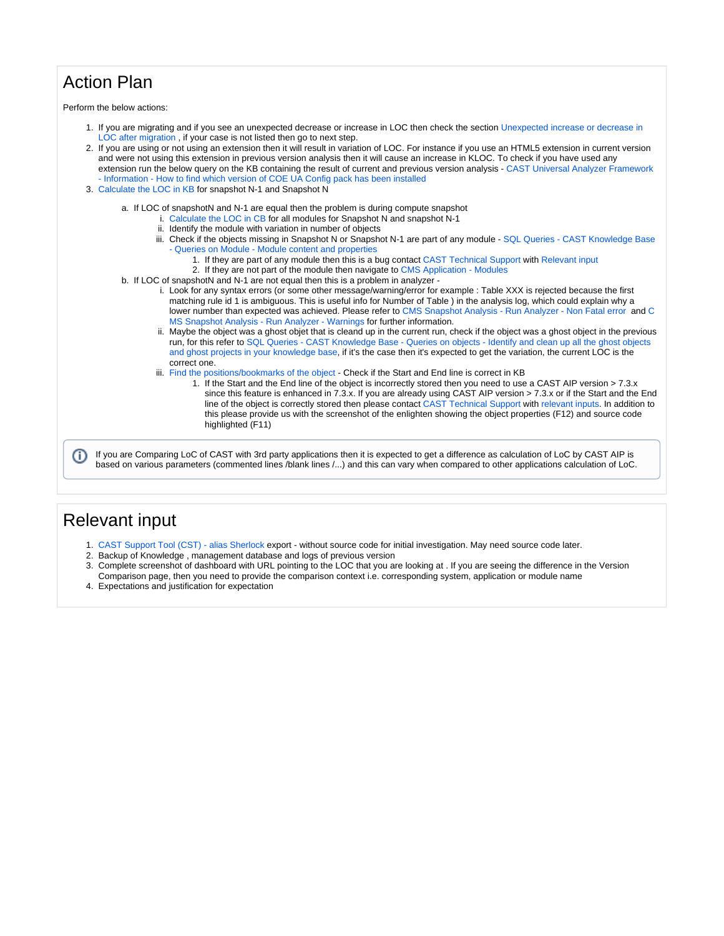## Action Plan

Perform the below actions:

- 1. If you are migrating and if you see an unexpected decrease or increase in LOC then check the section [Unexpected increase or decrease in](#page-2-0)  [LOC after migration](#page-2-0) , if your case is not listed then go to next step.
- 2. If you are using or not using an extension then it will result in variation of LOC. For instance if you use an HTML5 extension in current version and were not using this extension in previous version analysis then it will cause an increase in KLOC. To check if you have used any extension run the below query on the KB containing the result of current and previous version analysis - [CAST Universal Analyzer Framework](https://doc.castsoftware.com/display/TG/CAST+Universal+Analyzer++Framework+-+Information+-+How+to+find+which+version+of+COE+UA+Config+pack+has+been+installed)  [- Information - How to find which version of COE UA Config pack has been installed](https://doc.castsoftware.com/display/TG/CAST+Universal+Analyzer++Framework+-+Information+-+How+to+find+which+version+of+COE+UA+Config+pack+has+been+installed)
- 3. [Calculate the LOC in KB](#page-2-1) for snapshot N-1 and Snapshot N
	- a. If LOC of snapshotN and N-1 are equal then the problem is during compute snapshot
		- i. [Calculate the LOC in CB](#page-4-0) for all modules for Snapshot N and snapshot N-1
		- ii. Identify the module with variation in number of objects
		- iii. Check if the objects missing in Snapshot N or Snapshot N-1 are part of any module [SQL Queries CAST Knowledge Base](https://doc.castsoftware.com/display/TG/SQL+Queries+-+CAST+Knowledge+Base+-+Queries+on+Module+-+Module+content+and+properties)  [- Queries on Module - Module content and properties](https://doc.castsoftware.com/display/TG/SQL+Queries+-+CAST+Knowledge+Base+-+Queries+on+Module+-+Module+content+and+properties)
			- 1. If they are part of any module then this is a bug contact [CAST Technical Support](https://help.castsoftware.com/hc/en-us/requests/new) with [Relevant input](#page-1-0)
		- 2. If they are not part of the module then navigate to [CMS Application Modules](https://doc.castsoftware.com/display/TG/CMS+Application+-+Modules)
	- b. If LOC of snapshotN and N-1 are not equal then this is a problem in analyzer
		- i. Look for any syntax errors (or some other message/warning/error for example : Table XXX is rejected because the first matching rule id 1 is ambiguous. This is useful info for Number of Table ) in the analysis log, which could explain why a lower number than expected was achieved. Please refer to [CMS Snapshot Analysis - Run Analyzer - Non Fatal error](https://doc.castsoftware.com/display/TG/CMS+Snapshot+Analysis+-+Run+Analyzer+-+Non+Fatal+error) and [C](https://doc.castsoftware.com/display/TG/CMS+Snapshot+Analysis+-+Run+Analyzer+-+Warnings) [MS Snapshot Analysis - Run Analyzer - Warnings](https://doc.castsoftware.com/display/TG/CMS+Snapshot+Analysis+-+Run+Analyzer+-+Warnings) for further information.
		- ii. Maybe the object was a ghost objet that is cleand up in the current run, check if the object was a ghost object in the previous run, for this refer to [SQL Queries - CAST Knowledge Base - Queries on objects - Identify and clean up all the ghost objects](https://doc.castsoftware.com/display/TG/SQL+Queries+-+CAST+Knowledge+Base+-+Queries+on+objects+-+Identify+and+clean+up+all+the+ghost+objects+and+ghost+projects+in+your+knowledge+base)  [and ghost projects in your knowledge base](https://doc.castsoftware.com/display/TG/SQL+Queries+-+CAST+Knowledge+Base+-+Queries+on+objects+-+Identify+and+clean+up+all+the+ghost+objects+and+ghost+projects+in+your+knowledge+base), if it's the case then it's expected to get the variation, the current LOC is the correct one.
		- iii. [Find the positions/bookmarks of the object](#page-5-0)  Check if the Start and End line is correct in KB
			- 1. If the Start and the End line of the object is incorrectly stored then you need to use a CAST AIP version > 7.3.x since this feature is enhanced in 7.3.x. If you are already using CAST AIP version > 7.3.x or if the Start and the End line of the object is correctly stored then please contact [CAST Technical Support](https://help.castsoftware.com/hc/en-us/requests/new) with relevant inputs. In addition to this please provide us with the screenshot of the enlighten showing the object properties (F12) and source code highlighted (F11)

If you are Comparing LoC of CAST with 3rd party applications then it is expected to get a difference as calculation of LoC by CAST AIP is (i) based on various parameters (commented lines /blank lines /...) and this can vary when compared to other applications calculation of LoC.

### <span id="page-1-0"></span>Relevant input

- 1. [CAST Support Tool \(CST\) alias Sherlock](https://help.castsoftware.com/hc/en-us/articles/203751708-CAST-Support-Tool-CST-alias-Sherlock) export without source code for initial investigation. May need source code later.
- 2. Backup of Knowledge , management database and logs of previous version
- 3. Complete screenshot of dashboard with URL pointing to the LOC that you are looking at . If you are seeing the difference in the Version Comparison page, then you need to provide the comparison context i.e. corresponding system, application or module name
- 4. Expectations and justification for expectation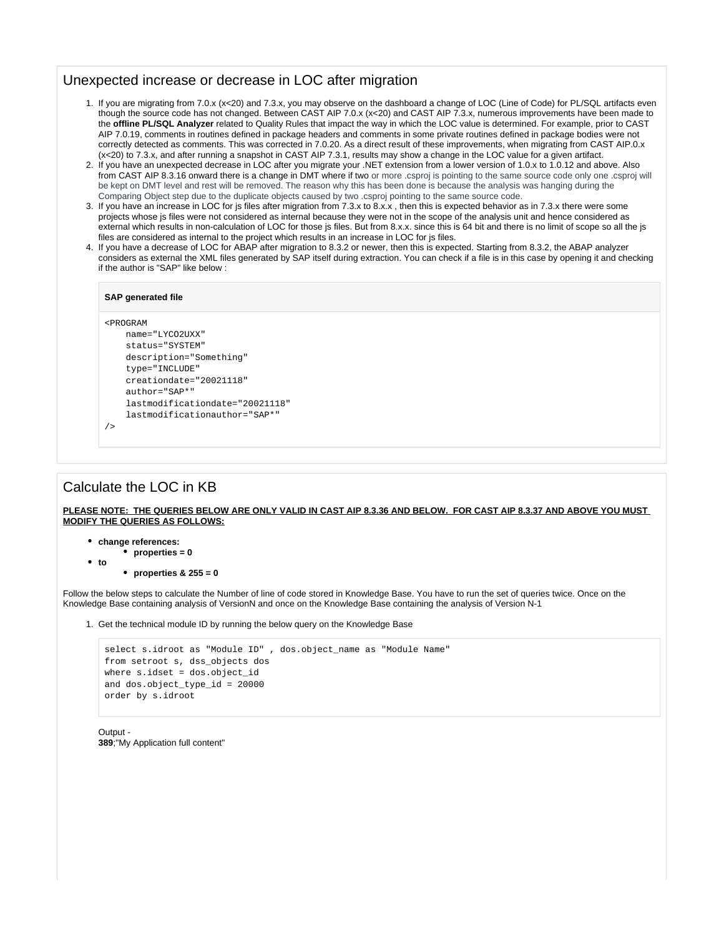### <span id="page-2-0"></span>Unexpected increase or decrease in LOC after migration

- 1. If you are migrating from 7.0.x (x<20) and 7.3.x, you may observe on the dashboard a change of LOC (Line of Code) for PL/SQL artifacts even though the source code has not changed. Between CAST AIP 7.0.x (x<20) and CAST AIP 7.3.x, numerous improvements have been made to the **offline PL/SQL Analyzer** related to Quality Rules that impact the way in which the LOC value is determined. For example, prior to CAST AIP 7.0.19, comments in routines defined in package headers and comments in some private routines defined in package bodies were not correctly detected as comments. This was corrected in 7.0.20. As a direct result of these improvements, when migrating from CAST AIP.0.x (x<20) to 7.3.x, and after running a snapshot in CAST AIP 7.3.1, results may show a change in the LOC value for a given artifact.
- 2. If you have an unexpected decrease in LOC after you migrate your .NET extension from a lower version of 1.0.x to 1.0.12 and above. Also from CAST AIP 8.3.16 onward there is a change in DMT where if two or more .csproj is pointing to the same source code only one .csproj will be kept on DMT level and rest will be removed. The reason why this has been done is because the analysis was hanging during the Comparing Object step due to the duplicate objects caused by two .csproj pointing to the same source code.
- 3. If you have an increase in LOC for js files after migration from 7.3.x to 8.x.x , then this is expected behavior as in 7.3.x there were some projects whose js files were not considered as internal because they were not in the scope of the analysis unit and hence considered as external which results in non-calculation of LOC for those js files. But from 8.x.x. since this is 64 bit and there is no limit of scope so all the js files are considered as internal to the project which results in an increase in LOC for js files.
- 4. If you have a decrease of LOC for ABAP after migration to 8.3.2 or newer, then this is expected. Starting from 8.3.2, the ABAP analyzer considers as external the XML files generated by SAP itself during extraction. You can check if a file is in this case by opening it and checking if the author is "SAP" like below :

#### **SAP generated file**

#### <PROGRAM

/>

```
 name="LYCO2UXX" 
 status="SYSTEM" 
 description="Something" 
 type="INCLUDE" 
 creationdate="20021118" 
 author="SAP*" 
 lastmodificationdate="20021118" 
 lastmodificationauthor="SAP*"
```
### <span id="page-2-1"></span>Calculate the LOC in KB

**PLEASE NOTE: THE QUERIES BELOW ARE ONLY VALID IN CAST AIP 8.3.36 AND BELOW. FOR CAST AIP 8.3.37 AND ABOVE YOU MUST MODIFY THE QUERIES AS FOLLOWS:**

- **change references:**
- **properties = 0 to**

**properties & 255 = 0**

Follow the below steps to calculate the Number of line of code stored in Knowledge Base. You have to run the set of queries twice. Once on the Knowledge Base containing analysis of VersionN and once on the Knowledge Base containing the analysis of Version N-1

1. Get the technical module ID by running the below query on the Knowledge Base

```
select s.idroot as "Module ID" , dos.object_name as "Module Name" 
from setroot s, dss_objects dos 
where s.idset = dos.object id
and dos.object_type_id = 20000 
order by s.idroot
```
 $Output -$ **389**;"My Application full content"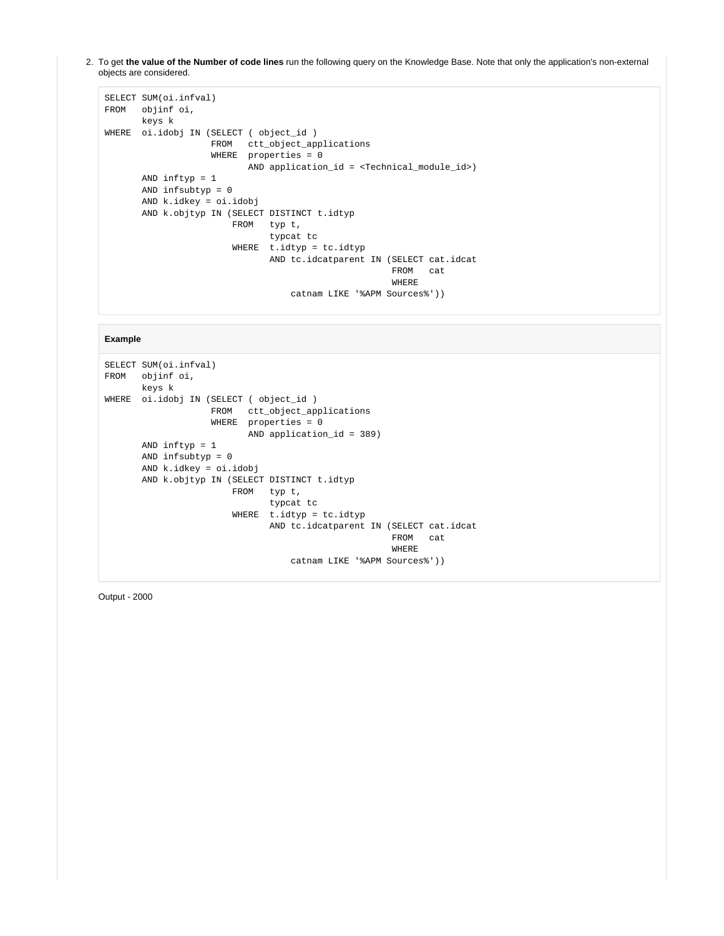2. To get **the value of the Number of code lines** run the following query on the Knowledge Base. Note that only the application's non-external objects are considered.

```
SELECT SUM(oi.infval)
FROM objinf oi,
          keys k
WHERE oi.idobj IN (SELECT ( object_id )
                            FROM ctt_object_applications
                            WHERE properties = 0
                                     AND application_id = <Technical_module_id>)
          AND inftyp = 1
          AND infsubtyp = 0
          AND k.idkey = oi.idobj
          AND k.objtyp IN (SELECT DISTINCT t.idtyp
                                FROM typ t,
                                          typcat tc
                                 WHERE t.idtyp = tc.idtyp
                                          AND tc.idcatparent IN (SELECT cat.idcat
                                                                         FROM cat
where the contract of the contract of the contract of the contract of the contract of the contract of the contract of the contract of the contract of the contract of the contract of the contract of the contract of the cont
                                                catnam LIKE '%APM Sources%'))
```
#### **Example**

```
SELECT SUM(oi.infval)
FROM objinf oi,
         keys k
WHERE oi.idobj IN (SELECT ( object_id )
                            FROM ctt_object_applications
                            WHERE properties = 0
                                     AND application_id = 389)
          AND inftyp = 1
          AND infsubtyp = 0
          AND k.idkey = oi.idobj
          AND k.objtyp IN (SELECT DISTINCT t.idtyp
                                FROM typ t,
                                           typcat tc
                                 WHERE t.idtyp = tc.idtyp
                                           AND tc.idcatparent IN (SELECT cat.idcat
                                                                          FROM cat
where the contract of the contract of the contract of the contract of the contract of the contract of the contract of the contract of the contract of the contract of the contract of the contract of the contract of the cont
                                                 catnam LIKE '%APM Sources%'))
```
Output - 2000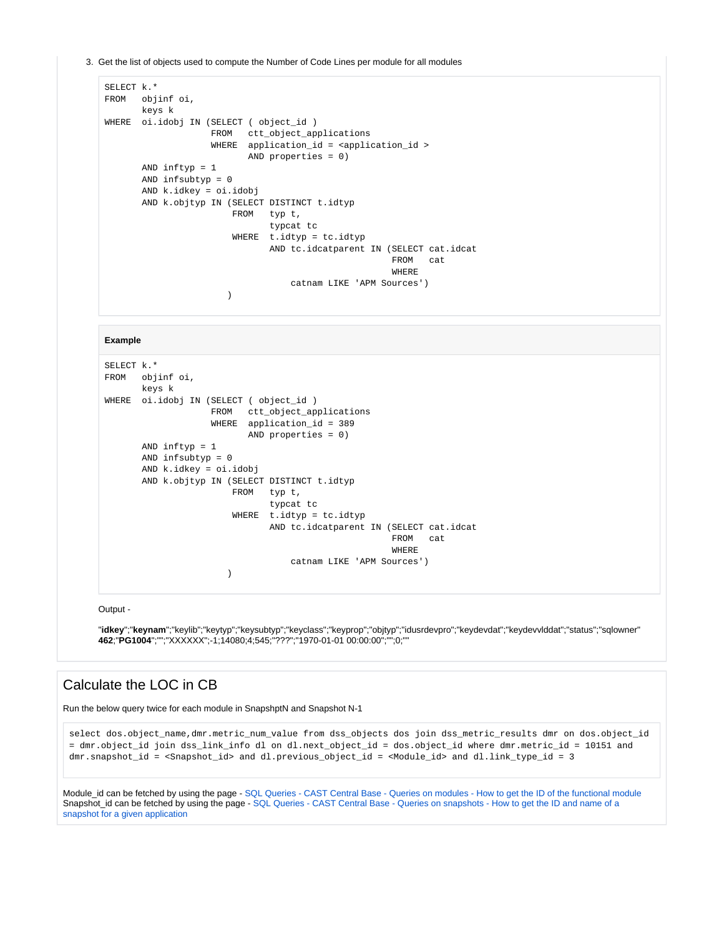3. Get the list of objects used to compute the Number of Code Lines per module for all modules

```
SELECT k.*
FROM objinf oi,
         keys k
WHERE oi.idobj IN (SELECT ( object_id )
                          FROM ctt_object_applications
                          WHERE application_id = <application_id >
                                 AND properties = 0)
         AND inftyp = 1
         AND infsubtyp = 0
         AND k.idkey = oi.idobj
         AND k.objtyp IN (SELECT DISTINCT t.idtyp
                               FROM typ t,
                                         typcat tc
                                WHERE t.idtyp = tc.idtyp
                                        AND tc.idcatparent IN (SELECT cat.idcat
                                                                      FROM cat
where the contract of the contract of the contract of the contract of the contract of the contract of the contract of the contract of the contract of the contract of the contract of the contract of the contract of the cont
                                              catnam LIKE 'APM Sources')
 )
```
#### **Example**

```
SELECT k.*
FROM objinf oi,
         keys k
WHERE oi.idobj IN (SELECT ( object_id )
                           FROM ctt_object_applications
                           WHERE application_id = 389
                                   AND properties = 0)
         AND inftyp = 1
         AND infsubtyp = 0
         AND k.idkey = oi.idobj
          AND k.objtyp IN (SELECT DISTINCT t.idtyp
                               FROM typ t,
                                         typcat tc
                                WHERE t.idtyp = tc.idtyp
                                         AND tc.idcatparent IN (SELECT cat.idcat
                                                                       FROM cat
where the contract of the contract of the contract of the contract of the contract of the contract of the contract of the contract of the contract of the contract of the contract of the contract of the contract of the cont
                                              catnam LIKE 'APM Sources')
 )
```
Output -

"**idkey**";"**keynam**";"keylib";"keytyp";"keysubtyp";"keyclass";"keyprop";"objtyp";"idusrdevpro";"keydevdat";"keydevvlddat";"status";"sqlowner" **462**;"**PG1004**";"";"XXXXXX";-1;14080;4;545;"???";"1970-01-01 00:00:00";"";0;""

### <span id="page-4-0"></span>Calculate the LOC in CB

Run the below query twice for each module in SnapshptN and Snapshot N-1

select dos.object\_name,dmr.metric\_num\_value from dss\_objects dos join dss\_metric\_results dmr on dos.object\_id = dmr.object\_id join dss\_link\_info dl on dl.next\_object\_id = dos.object\_id where dmr.metric\_id = 10151 and dmr.snapshot\_id = <Snapshot\_id> and dl.previous\_object\_id = <Module\_id> and dl.link\_type\_id = 3

Module id can be fetched by using the page - [SQL Queries - CAST Central Base - Queries on modules - How to get the ID of the functional module](https://doc.castsoftware.com/display/TG/SQL+Queries+-++CAST+Central+Base+-+Queries+on+modules+-+How+to+get+the+ID+of+the+functional+module) Snapshot\_id can be fetched by using the page - [SQL Queries - CAST Central Base - Queries on snapshots - How to get the ID and name of a](https://doc.castsoftware.com/display/TG/SQL+Queries+-+CAST+Central+Base+-+Queries+on+snapshots+-+How+to+get+the+ID+and+name+of+a+snapshot+for+a+given+application)  [snapshot for a given application](https://doc.castsoftware.com/display/TG/SQL+Queries+-+CAST+Central+Base+-+Queries+on+snapshots+-+How+to+get+the+ID+and+name+of+a+snapshot+for+a+given+application)